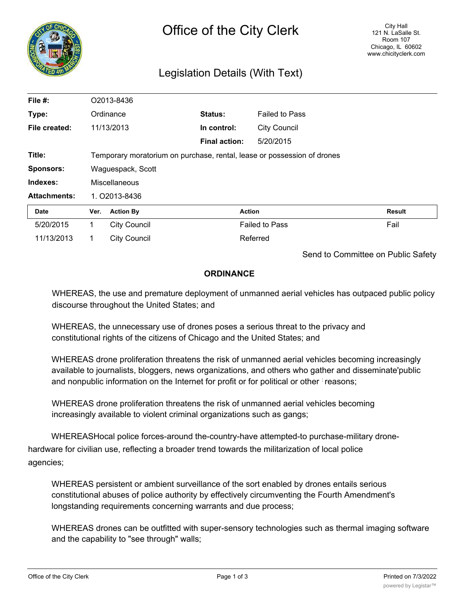

# Legislation Details (With Text)

| File #:             | O2013-8436                                                              |                     |                      |                       |               |
|---------------------|-------------------------------------------------------------------------|---------------------|----------------------|-----------------------|---------------|
| Type:               |                                                                         | Ordinance           | Status:              | <b>Failed to Pass</b> |               |
| File created:       |                                                                         | 11/13/2013          | In control:          | <b>City Council</b>   |               |
|                     |                                                                         |                     | <b>Final action:</b> | 5/20/2015             |               |
| Title:              | Temporary moratorium on purchase, rental, lease or possession of drones |                     |                      |                       |               |
| <b>Sponsors:</b>    | Waguespack, Scott                                                       |                     |                      |                       |               |
| Indexes:            | Miscellaneous                                                           |                     |                      |                       |               |
| <b>Attachments:</b> | 1. 02013-8436                                                           |                     |                      |                       |               |
| Date                | Ver.                                                                    | <b>Action By</b>    |                      | <b>Action</b>         | <b>Result</b> |
| 5/20/2015           |                                                                         | <b>City Council</b> |                      | <b>Failed to Pass</b> | Fail          |
| 11/13/2013          |                                                                         | <b>City Council</b> |                      | Referred              |               |

Send to Committee on Public Safety

## **ORDINANCE**

WHEREAS, the use and premature deployment of unmanned aerial vehicles has outpaced public policy discourse throughout the United States; and

WHEREAS, the unnecessary use of drones poses a serious threat to the privacy and constitutional rights of the citizens of Chicago and the United States; and

WHEREAS drone proliferation threatens the risk of unmanned aerial vehicles becoming increasingly available to journalists, bloggers, news organizations, and others who gather and disseminate'public and nonpublic information on the Internet for profit or for political or other : reasons;

WHEREAS drone proliferation threatens the risk of unmanned aerial vehicles becoming increasingly available to violent criminal organizations such as gangs;

WHEREASHocal police forces-around the-country-have attempted-to purchase-military dronehardware for civilian use, reflecting a broader trend towards the militarization of local police agencies;

WHEREAS persistent or ambient surveillance of the sort enabled by drones entails serious constitutional abuses of police authority by effectively circumventing the Fourth Amendment's longstanding requirements concerning warrants and due process;

WHEREAS drones can be outfitted with super-sensory technologies such as thermal imaging software and the capability to "see through" walls;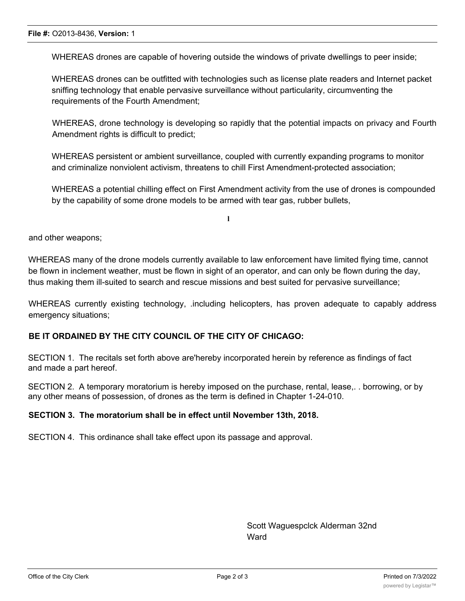WHEREAS drones are capable of hovering outside the windows of private dwellings to peer inside;

WHEREAS drones can be outfitted with technologies such as license plate readers and Internet packet sniffing technology that enable pervasive surveillance without particularity, circumventing the requirements of the Fourth Amendment;

WHEREAS, drone technology is developing so rapidly that the potential impacts on privacy and Fourth Amendment rights is difficult to predict:

WHEREAS persistent or ambient surveillance, coupled with currently expanding programs to monitor and criminalize nonviolent activism, threatens to chill First Amendment-protected association;

WHEREAS a potential chilling effect on First Amendment activity from the use of drones is compounded by the capability of some drone models to be armed with tear gas, rubber bullets,

**l**

and other weapons;

WHEREAS many of the drone models currently available to law enforcement have limited flying time, cannot be flown in inclement weather, must be flown in sight of an operator, and can only be flown during the day, thus making them ill-suited to search and rescue missions and best suited for pervasive surveillance;

WHEREAS currently existing technology, .including helicopters, has proven adequate to capably address emergency situations;

#### **BE IT ORDAINED BY THE CITY COUNCIL OF THE CITY OF CHICAGO:**

SECTION 1. The recitals set forth above are'hereby incorporated herein by reference as findings of fact and made a part hereof.

SECTION 2. A temporary moratorium is hereby imposed on the purchase, rental, lease,. . borrowing, or by any other means of possession, of drones as the term is defined in Chapter 1-24-010.

#### **SECTION 3. The moratorium shall be in effect until November 13th, 2018.**

SECTION 4. This ordinance shall take effect upon its passage and approval.

Scott Waguespclck Alderman 32nd **Ward**